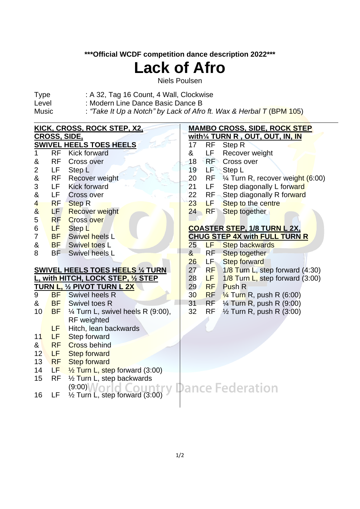### **\*\*\*Official WCDF competition dance description 2022\*\*\***

# **Lack of Afro**

Niels Poulsen

- Type : A 32, Tag 16 Count, 4 Wall, Clockwise
- Level : Modern Line Dance Basic Dance B
- Music : *"Take It Up a Notch" by Lack of Afro ft. Wax & Herbal T* (BPM 105)

|                                    |                     | <u>KICK, CROSS, ROCK STEP, X2,</u>        | <b>MAMBO CROSS, SIDE, ROCK STEP</b> |           |                                                |  |  |  |  |
|------------------------------------|---------------------|-------------------------------------------|-------------------------------------|-----------|------------------------------------------------|--|--|--|--|
|                                    | <b>CROSS, SIDE,</b> |                                           | with1/4 TURN R, OUT, OUT, IN, IN    |           |                                                |  |  |  |  |
|                                    |                     | <b>SWIVEL HEELS TOES HEELS</b>            | 17                                  | <b>RF</b> | Step R                                         |  |  |  |  |
| 1                                  | <b>RF</b>           | <b>Kick forward</b>                       | &                                   | LF        | Recover weight                                 |  |  |  |  |
| &                                  | <b>RF</b>           | Cross over                                | 18                                  | RF        | Cross over                                     |  |  |  |  |
| $\overline{\mathbf{c}}$            | LF                  | Step L                                    | 19                                  | LEN       | Step L                                         |  |  |  |  |
| &                                  | <b>RF</b>           | Recover weight                            | 20                                  |           | RF $\frac{1}{4}$ Turn R, recover weight (6:00) |  |  |  |  |
| 3                                  | LF                  | <b>Kick forward</b>                       | 21                                  | LF        | Step diagonally L forward                      |  |  |  |  |
| &                                  | <b>LF</b>           | <b>Cross over</b>                         | 22                                  | $RF -$    | Step diagonally R forward                      |  |  |  |  |
| $\overline{\mathbf{4}}$            | <b>RF</b>           | <b>Step R</b>                             | 23                                  | ЬE.       | Step to the centre                             |  |  |  |  |
| $\overline{\mathbf{g}}$            | LF                  | <b>Recover weight</b>                     | 24                                  | <b>RF</b> | Step together                                  |  |  |  |  |
| 5                                  | <b>RF</b>           | <b>Cross over</b>                         |                                     |           |                                                |  |  |  |  |
| 6                                  | LF                  | Step L                                    |                                     |           | <b>COASTER STEP, 1/8 TURN L 2X,</b>            |  |  |  |  |
| 7                                  | <b>BF</b>           | <b>Swivel heels L</b>                     |                                     |           | <b>CHUG STEP 4X with FULL TURN R</b>           |  |  |  |  |
| &                                  | <b>BF</b>           | Swivel toes L                             | 25                                  | LF 1      | <b>Step backwards</b>                          |  |  |  |  |
| 8                                  | BF                  | Swivel heels L                            | 8 <sub>1</sub>                      | RF        | Step together                                  |  |  |  |  |
|                                    |                     |                                           | 26                                  | LF.       | <b>Step forward</b>                            |  |  |  |  |
|                                    |                     | <b>SWIVEL HEELS TOES HEELS 1/4 TURN</b>   | 27                                  | <b>RF</b> | 1/8 Turn L, step forward (4:30)                |  |  |  |  |
| L, with HITCH, LOCK STEP, 1/2 STEP |                     |                                           | 28                                  | LF.       | $1/8$ Turn L, step forward (3:00)              |  |  |  |  |
|                                    |                     | TURN L, 1/2 PIVOT TURN L 2X               | 29                                  | RF        | Push R                                         |  |  |  |  |
| 9                                  | <b>BF</b>           | Swivel heels R                            | 30 <sup>°</sup>                     |           | $RF \frac{1}{4}$ Turn R, push R (6:00)         |  |  |  |  |
| &                                  | <b>BF</b>           | <b>Swivel toes R</b>                      | 31                                  | RF        | 1/ <sub>4</sub> Turn R, push R (9:00)          |  |  |  |  |
| 10                                 | <b>BF</b>           | 1⁄4 Turn L, swivel heels R (9:00),        | 32                                  | <b>RF</b> | $\frac{1}{2}$ Turn R, push R (3:00)            |  |  |  |  |
|                                    |                     | <b>RF</b> weighted                        |                                     |           |                                                |  |  |  |  |
|                                    | LF                  | Hitch, lean backwards                     |                                     |           |                                                |  |  |  |  |
| 11                                 | <b>LF</b>           | Step forward                              |                                     |           |                                                |  |  |  |  |
| $\mathbf{g}$                       | <b>RF</b>           | <b>Cross behind</b>                       |                                     |           |                                                |  |  |  |  |
| 12                                 | LF                  | <b>Step forward</b>                       |                                     |           |                                                |  |  |  |  |
| 13                                 | <b>RF</b>           | <b>Step forward</b>                       |                                     |           |                                                |  |  |  |  |
| 14                                 | LF                  | 1/2 Turn L, step forward (3:00)           |                                     |           |                                                |  |  |  |  |
| 15                                 | <b>RF</b>           | 1/2 Turn L, step backwards                |                                     |           |                                                |  |  |  |  |
|                                    |                     | $(9:00)$ $\mathcal{N}$ $\cap$             |                                     |           | <b>Dance Federation</b>                        |  |  |  |  |
| 16                                 | LF                  | $\frac{1}{2}$ Turn L, step forward (3:00) |                                     |           |                                                |  |  |  |  |
|                                    |                     |                                           |                                     |           |                                                |  |  |  |  |